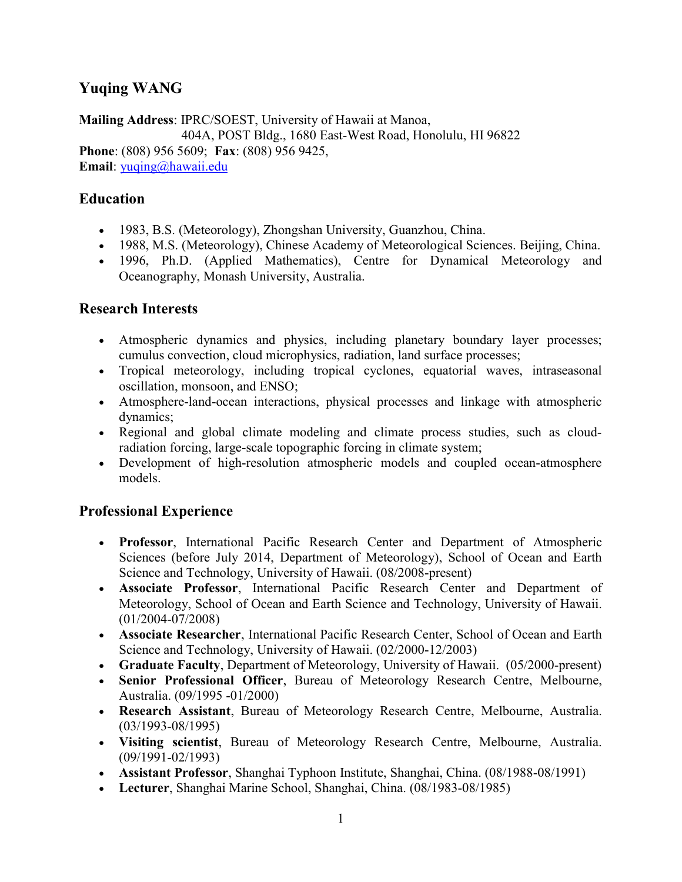# Yuqing WANG

Mailing Address: IPRC/SOEST, University of Hawaii at Manoa, 404A, POST Bldg., 1680 East-West Road, Honolulu, HI 96822 Phone: (808) 956 5609; Fax: (808) 956 9425, Email: yuqing@hawaii.edu

### Education

- 1983, B.S. (Meteorology), Zhongshan University, Guanzhou, China.
- 1988, M.S. (Meteorology), Chinese Academy of Meteorological Sciences. Beijing, China.
- 1996, Ph.D. (Applied Mathematics), Centre for Dynamical Meteorology and Oceanography, Monash University, Australia.

### Research Interests

- Atmospheric dynamics and physics, including planetary boundary layer processes; cumulus convection, cloud microphysics, radiation, land surface processes;
- Tropical meteorology, including tropical cyclones, equatorial waves, intraseasonal oscillation, monsoon, and ENSO;
- Atmosphere-land-ocean interactions, physical processes and linkage with atmospheric dynamics;
- Regional and global climate modeling and climate process studies, such as cloudradiation forcing, large-scale topographic forcing in climate system;
- Development of high-resolution atmospheric models and coupled ocean-atmosphere models.

## Professional Experience

- Professor, International Pacific Research Center and Department of Atmospheric Sciences (before July 2014, Department of Meteorology), School of Ocean and Earth Science and Technology, University of Hawaii. (08/2008-present)
- Associate Professor, International Pacific Research Center and Department of Meteorology, School of Ocean and Earth Science and Technology, University of Hawaii. (01/2004-07/2008)
- Associate Researcher, International Pacific Research Center, School of Ocean and Earth Science and Technology, University of Hawaii. (02/2000-12/2003)
- Graduate Faculty, Department of Meteorology, University of Hawaii. (05/2000-present)
- Senior Professional Officer, Bureau of Meteorology Research Centre, Melbourne, Australia. (09/1995 -01/2000)
- Research Assistant, Bureau of Meteorology Research Centre, Melbourne, Australia. (03/1993-08/1995)
- Visiting scientist, Bureau of Meteorology Research Centre, Melbourne, Australia. (09/1991-02/1993)
- Assistant Professor, Shanghai Typhoon Institute, Shanghai, China. (08/1988-08/1991)
- Lecturer, Shanghai Marine School, Shanghai, China. (08/1983-08/1985)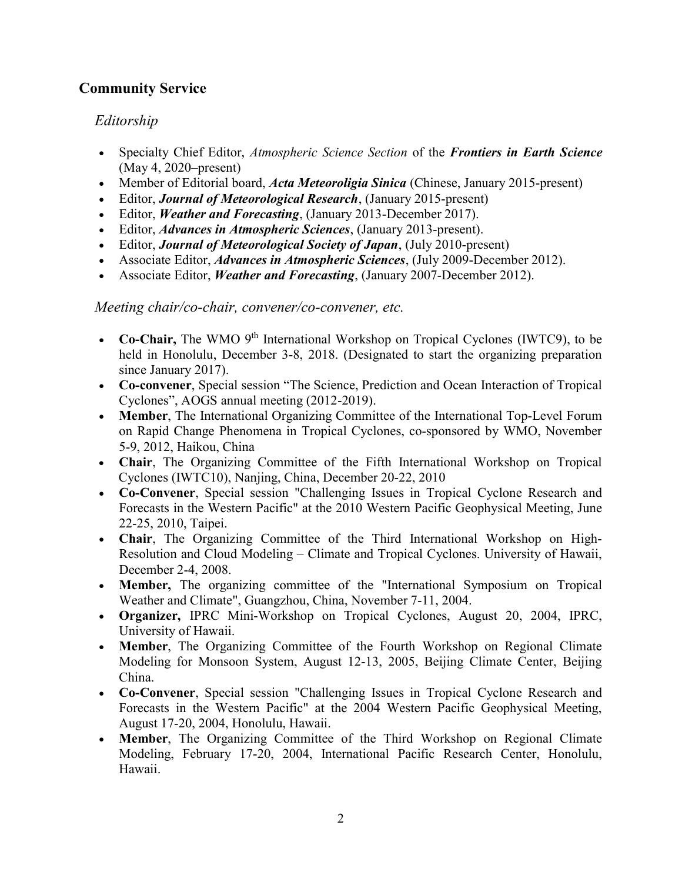# Community Service

## Editorship

- Specialty Chief Editor, Atmospheric Science Section of the Frontiers in Earth Science (May 4, 2020–present)
- Member of Editorial board, *Acta Meteoroligia Sinica* (Chinese, January 2015-present)
- Editor, *Journal of Meteorological Research*, (January 2015-present)
- Editor, *Weather and Forecasting*, (January 2013-December 2017).
- Editor, *Advances in Atmospheric Sciences*, (January 2013-present).
- Editor, Journal of Meteorological Society of Japan, (July 2010-present)
- Associate Editor, *Advances in Atmospheric Sciences*, (July 2009-December 2012).
- Associate Editor, *Weather and Forecasting*, (January 2007-December 2012).

#### Meeting chair/co-chair, convener/co-convener, etc.

- Co-Chair, The WMO  $9<sup>th</sup>$  International Workshop on Tropical Cyclones (IWTC9), to be held in Honolulu, December 3-8, 2018. (Designated to start the organizing preparation since January 2017).
- Co-convener, Special session "The Science, Prediction and Ocean Interaction of Tropical Cyclones", AOGS annual meeting (2012-2019).
- Member, The International Organizing Committee of the International Top-Level Forum on Rapid Change Phenomena in Tropical Cyclones, co-sponsored by WMO, November 5-9, 2012, Haikou, China
- Chair, The Organizing Committee of the Fifth International Workshop on Tropical Cyclones (IWTC10), Nanjing, China, December 20-22, 2010
- Co-Convener, Special session "Challenging Issues in Tropical Cyclone Research and Forecasts in the Western Pacific" at the 2010 Western Pacific Geophysical Meeting, June 22-25, 2010, Taipei.
- Chair, The Organizing Committee of the Third International Workshop on High-Resolution and Cloud Modeling – Climate and Tropical Cyclones. University of Hawaii, December 2-4, 2008.
- Member, The organizing committee of the "International Symposium on Tropical Weather and Climate", Guangzhou, China, November 7-11, 2004.
- Organizer, IPRC Mini-Workshop on Tropical Cyclones, August 20, 2004, IPRC, University of Hawaii.
- Member, The Organizing Committee of the Fourth Workshop on Regional Climate Modeling for Monsoon System, August 12-13, 2005, Beijing Climate Center, Beijing China.
- Co-Convener, Special session "Challenging Issues in Tropical Cyclone Research and Forecasts in the Western Pacific" at the 2004 Western Pacific Geophysical Meeting, August 17-20, 2004, Honolulu, Hawaii.
- Member, The Organizing Committee of the Third Workshop on Regional Climate Modeling, February 17-20, 2004, International Pacific Research Center, Honolulu, Hawaii.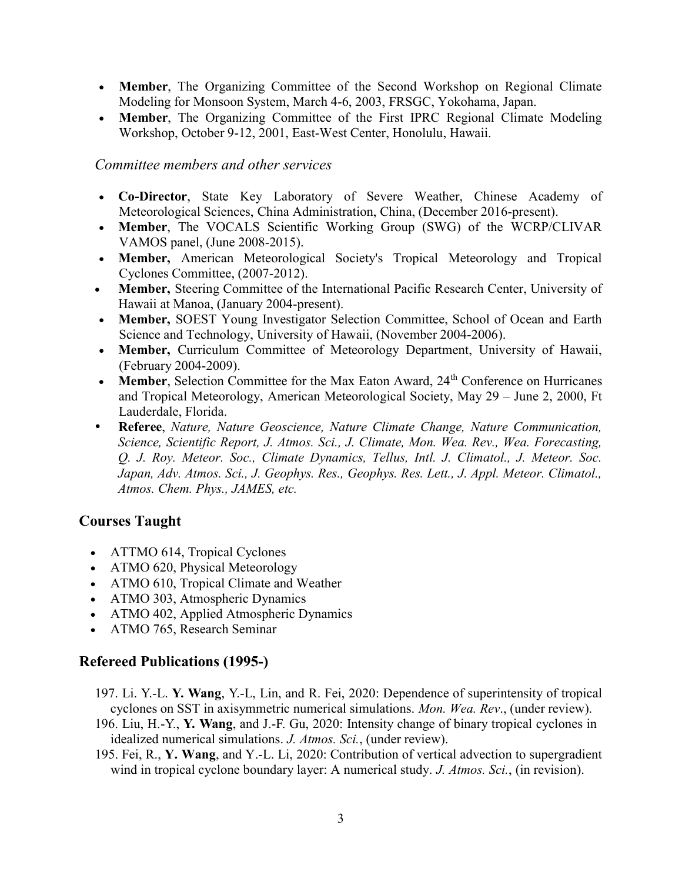- Member, The Organizing Committee of the Second Workshop on Regional Climate Modeling for Monsoon System, March 4-6, 2003, FRSGC, Yokohama, Japan.
- Member, The Organizing Committee of the First IPRC Regional Climate Modeling Workshop, October 9-12, 2001, East-West Center, Honolulu, Hawaii.

#### Committee members and other services

- Co-Director, State Key Laboratory of Severe Weather, Chinese Academy of Meteorological Sciences, China Administration, China, (December 2016-present).
- Member, The VOCALS Scientific Working Group (SWG) of the WCRP/CLIVAR VAMOS panel, (June 2008-2015).
- Member, American Meteorological Society's Tropical Meteorology and Tropical Cyclones Committee, (2007-2012).
- Member, Steering Committee of the International Pacific Research Center, University of Hawaii at Manoa, (January 2004-present).
- Member, SOEST Young Investigator Selection Committee, School of Ocean and Earth Science and Technology, University of Hawaii, (November 2004-2006).
- Member, Curriculum Committee of Meteorology Department, University of Hawaii, (February 2004-2009).
- Member, Selection Committee for the Max Eaton Award,  $24<sup>th</sup>$  Conference on Hurricanes and Tropical Meteorology, American Meteorological Society, May 29 – June 2, 2000, Ft Lauderdale, Florida.
- Referee, Nature, Nature Geoscience, Nature Climate Change, Nature Communication, Science, Scientific Report, J. Atmos. Sci., J. Climate, Mon. Wea. Rev., Wea. Forecasting, Q. J. Roy. Meteor. Soc., Climate Dynamics, Tellus, Intl. J. Climatol., J. Meteor. Soc. Japan, Adv. Atmos. Sci., J. Geophys. Res., Geophys. Res. Lett., J. Appl. Meteor. Climatol., Atmos. Chem. Phys., JAMES, etc.

### Courses Taught

- ATTMO 614, Tropical Cyclones
- ATMO 620, Physical Meteorology
- ATMO 610, Tropical Climate and Weather
- ATMO 303, Atmospheric Dynamics
- ATMO 402, Applied Atmospheric Dynamics
- ATMO 765, Research Seminar

### Refereed Publications (1995-)

- 197. Li. Y.-L. Y. Wang, Y.-L, Lin, and R. Fei, 2020: Dependence of superintensity of tropical cyclones on SST in axisymmetric numerical simulations. Mon. Wea. Rev., (under review).
- 196. Liu, H.-Y., Y. Wang, and J.-F. Gu, 2020: Intensity change of binary tropical cyclones in idealized numerical simulations. J. Atmos. Sci., (under review).
- 195. Fei, R., Y. Wang, and Y.-L. Li, 2020: Contribution of vertical advection to supergradient wind in tropical cyclone boundary layer: A numerical study. J. Atmos. Sci., (in revision).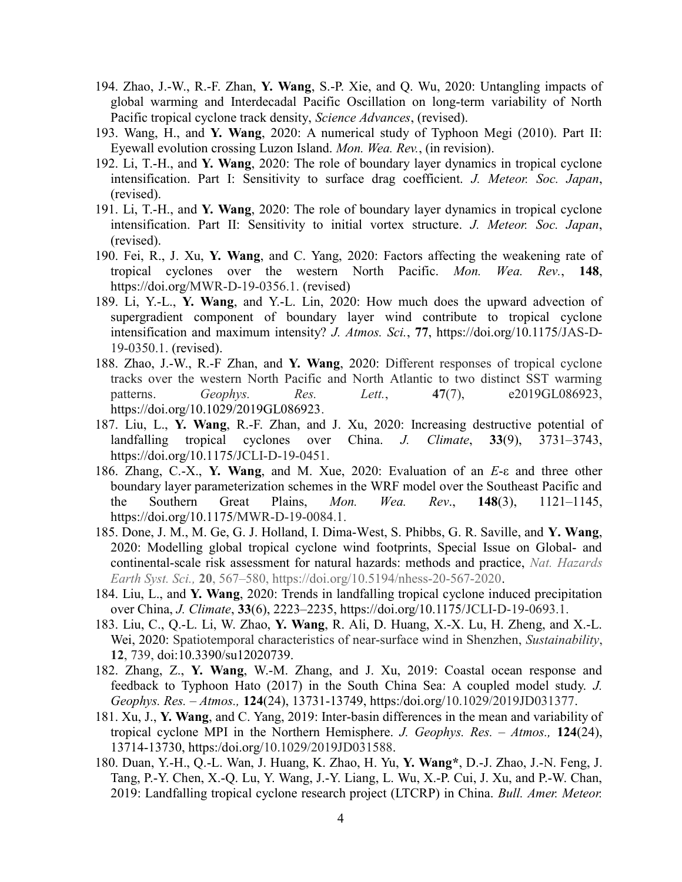- 194. Zhao, J.-W., R.-F. Zhan, Y. Wang, S.-P. Xie, and Q. Wu, 2020: Untangling impacts of global warming and Interdecadal Pacific Oscillation on long-term variability of North Pacific tropical cyclone track density, Science Advances, (revised).
- 193. Wang, H., and Y. Wang, 2020: A numerical study of Typhoon Megi (2010). Part II: Eyewall evolution crossing Luzon Island. Mon. Wea. Rev., (in revision).
- 192. Li, T.-H., and Y. Wang, 2020: The role of boundary layer dynamics in tropical cyclone intensification. Part I: Sensitivity to surface drag coefficient. *J. Meteor. Soc. Japan*, (revised).
- 191. Li, T.-H., and Y. Wang, 2020: The role of boundary layer dynamics in tropical cyclone intensification. Part II: Sensitivity to initial vortex structure. J. Meteor. Soc. Japan, (revised).
- 190. Fei, R., J. Xu, Y. Wang, and C. Yang, 2020: Factors affecting the weakening rate of tropical cyclones over the western North Pacific. Mon. Wea. Rev., 148, https://doi.org/MWR-D-19-0356.1. (revised)
- 189. Li, Y.-L., Y. Wang, and Y.-L. Lin, 2020: How much does the upward advection of supergradient component of boundary layer wind contribute to tropical cyclone intensification and maximum intensity? J. Atmos. Sci., 77, https://doi.org/10.1175/JAS-D-19-0350.1. (revised).
- 188. Zhao, J.-W., R.-F Zhan, and Y. Wang, 2020: Different responses of tropical cyclone tracks over the western North Pacific and North Atlantic to two distinct SST warming patterns. Geophys. Res. Lett., 47(7), e2019GL086923, https://doi.org/10.1029/2019GL086923.
- 187. Liu, L., Y. Wang, R.-F. Zhan, and J. Xu, 2020: Increasing destructive potential of landfalling tropical cyclones over China. J. Climate, 33(9), 3731–3743, https://doi.org/10.1175/JCLI-D-19-0451.
- 186. Zhang, C.-X., Y. Wang, and M. Xue, 2020: Evaluation of an E-ε and three other boundary layer parameterization schemes in the WRF model over the Southeast Pacific and the Southern Great Plains, *Mon. Wea. Rev.*,  $148(3)$ ,  $1121-1145$ , https://doi.org/10.1175/MWR-D-19-0084.1.
- 185. Done, J. M., M. Ge, G. J. Holland, I. Dima-West, S. Phibbs, G. R. Saville, and Y. Wang, 2020: Modelling global tropical cyclone wind footprints, Special Issue on Global- and continental-scale risk assessment for natural hazards: methods and practice, Nat. Hazards Earth Syst. Sci., 20, 567–580, https://doi.org/10.5194/nhess-20-567-2020.
- 184. Liu, L., and Y. Wang, 2020: Trends in landfalling tropical cyclone induced precipitation over China, J. Climate, 33(6), 2223–2235, https://doi.org/10.1175/JCLI-D-19-0693.1.
- 183. Liu, C., Q.-L. Li, W. Zhao, Y. Wang, R. Ali, D. Huang, X.-X. Lu, H. Zheng, and X.-L. Wei, 2020: Spatiotemporal characteristics of near-surface wind in Shenzhen, Sustainability, 12, 739, doi:10.3390/su12020739.
- 182. Zhang, Z., Y. Wang, W.-M. Zhang, and J. Xu, 2019: Coastal ocean response and feedback to Typhoon Hato (2017) in the South China Sea: A coupled model study. J. Geophys. Res. – Atmos., 124(24), 13731-13749, https:/doi.org/10.1029/2019JD031377.
- 181. Xu, J., Y. Wang, and C. Yang, 2019: Inter-basin differences in the mean and variability of tropical cyclone MPI in the Northern Hemisphere. J. Geophys. Res.  $-$  Atmos., 124(24), 13714-13730, https:/doi.org/10.1029/2019JD031588.
- 180. Duan, Y.-H., Q.-L. Wan, J. Huang, K. Zhao, H. Yu, Y. Wang\*, D.-J. Zhao, J.-N. Feng, J. Tang, P.-Y. Chen, X.-Q. Lu, Y. Wang, J.-Y. Liang, L. Wu, X.-P. Cui, J. Xu, and P.-W. Chan, 2019: Landfalling tropical cyclone research project (LTCRP) in China. Bull. Amer. Meteor.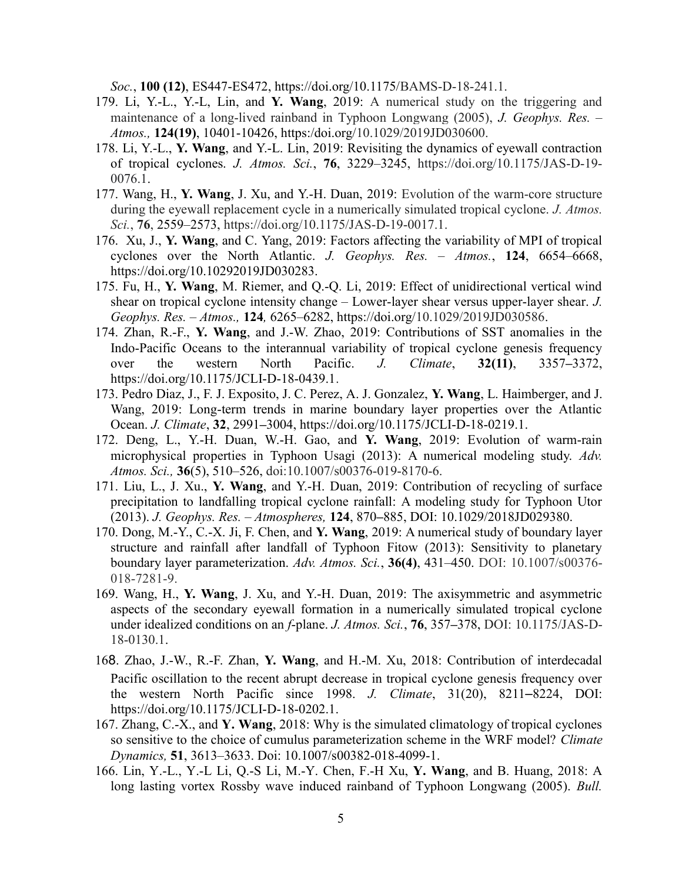Soc., 100 (12), ES447-ES472, https://doi.org/10.1175/BAMS-D-18-241.1.

- 179. Li, Y.-L., Y.-L, Lin, and Y. Wang, 2019: A numerical study on the triggering and maintenance of a long-lived rainband in Typhoon Longwang (2005), J. Geophys. Res. – Atmos., 124(19), 10401-10426, https:/doi.org/10.1029/2019JD030600.
- 178. Li, Y.-L., Y. Wang, and Y.-L. Lin, 2019: Revisiting the dynamics of eyewall contraction of tropical cyclones. J. Atmos. Sci., 76, 3229–3245, https://doi.org/10.1175/JAS-D-19- 0076.1.
- 177. Wang, H., Y. Wang, J. Xu, and Y.-H. Duan, 2019: Evolution of the warm-core structure during the eyewall replacement cycle in a numerically simulated tropical cyclone. *J. Atmos.* Sci., **76**, 2559–2573, https://doi.org/10.1175/JAS-D-19-0017.1.
- 176. Xu, J., Y. Wang, and C. Yang, 2019: Factors affecting the variability of MPI of tropical cyclones over the North Atlantic. J. Geophys. Res. - Atmos., 124, 6654-6668, https://doi.org/10.10292019JD030283.
- 175. Fu, H., Y. Wang, M. Riemer, and Q.-Q. Li, 2019: Effect of unidirectional vertical wind shear on tropical cyclone intensity change – Lower-layer shear versus upper-layer shear. J. Geophys. Res. – Atmos., 124, 6265–6282, https://doi.org/10.1029/2019JD030586.
- 174. Zhan, R.-F., Y. Wang, and J.-W. Zhao, 2019: Contributions of SST anomalies in the Indo-Pacific Oceans to the interannual variability of tropical cyclone genesis frequency over the western North Pacific. J. Climate, 32(11), 3357–3372, https://doi.org/10.1175/JCLI-D-18-0439.1.
- 173. Pedro Diaz, J., F. J. Exposito, J. C. Perez, A. J. Gonzalez, Y. Wang, L. Haimberger, and J. Wang, 2019: Long-term trends in marine boundary layer properties over the Atlantic Ocean. J. Climate, 32, 2991–3004, https://doi.org/10.1175/JCLI-D-18-0219.1.
- 172. Deng, L., Y.-H. Duan, W.-H. Gao, and Y. Wang, 2019: Evolution of warm-rain microphysical properties in Typhoon Usagi (2013): A numerical modeling study. Adv. Atmos. Sci., 36(5), 510–526, doi:10.1007/s00376-019-8170-6.
- 171. Liu, L., J. Xu., Y. Wang, and Y.-H. Duan, 2019: Contribution of recycling of surface precipitation to landfalling tropical cyclone rainfall: A modeling study for Typhoon Utor (2013). J. Geophys. Res. – Atmospheres, 124, 870–885, DOI: 10.1029/2018JD029380.
- 170. Dong, M.-Y., C.-X. Ji, F. Chen, and Y. Wang, 2019: A numerical study of boundary layer structure and rainfall after landfall of Typhoon Fitow (2013): Sensitivity to planetary boundary layer parameterization. Adv. Atmos. Sci., 36(4), 431-450. DOI: 10.1007/s00376-018-7281-9.
- 169. Wang, H., Y. Wang, J. Xu, and Y.-H. Duan, 2019: The axisymmetric and asymmetric aspects of the secondary eyewall formation in a numerically simulated tropical cyclone under idealized conditions on an f-plane. J. Atmos. Sci., 76, 357–378, DOI: 10.1175/JAS-D-18-0130.1.
- 168. Zhao, J.-W., R.-F. Zhan, Y. Wang, and H.-M. Xu, 2018: Contribution of interdecadal Pacific oscillation to the recent abrupt decrease in tropical cyclone genesis frequency over the western North Pacific since 1998. J. Climate, 31(20), 8211–8224, DOI: https://doi.org/10.1175/JCLI-D-18-0202.1.
- 167. Zhang, C.-X., and Y. Wang, 2018: Why is the simulated climatology of tropical cyclones so sensitive to the choice of cumulus parameterization scheme in the WRF model? *Climate* Dynamics, 51, 3613–3633. Doi: 10.1007/s00382-018-4099-1.
- 166. Lin, Y.-L., Y.-L Li, Q.-S Li, M.-Y. Chen, F.-H Xu, Y. Wang, and B. Huang, 2018: A long lasting vortex Rossby wave induced rainband of Typhoon Longwang (2005). Bull.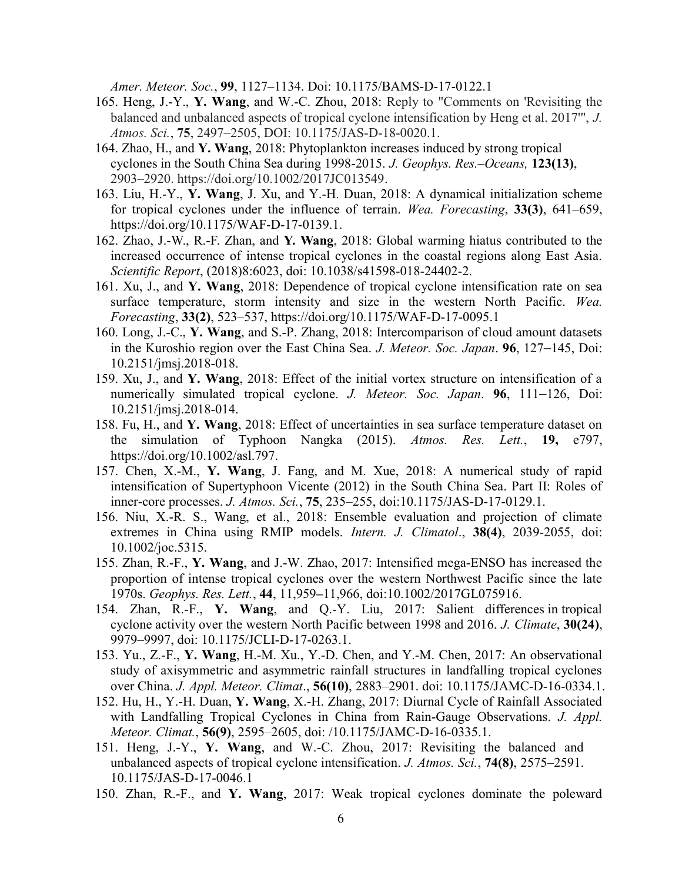Amer. Meteor. Soc., 99, 1127–1134. Doi: 10.1175/BAMS-D-17-0122.1

- 165. Heng, J.-Y., Y. Wang, and W.-C. Zhou, 2018: Reply to "Comments on 'Revisiting the balanced and unbalanced aspects of tropical cyclone intensification by Heng et al. 2017'", J. Atmos. Sci., 75, 2497–2505, DOI: 10.1175/JAS-D-18-0020.1.
- 164. Zhao, H., and Y. Wang, 2018: Phytoplankton increases induced by strong tropical cyclones in the South China Sea during 1998-2015. J. Geophys. Res.–Oceans, 123(13), 2903–2920. https://doi.org/10.1002/2017JC013549.
- 163. Liu, H.-Y., Y. Wang, J. Xu, and Y.-H. Duan, 2018: A dynamical initialization scheme for tropical cyclones under the influence of terrain. Wea. Forecasting, 33(3), 641–659, https://doi.org/10.1175/WAF-D-17-0139.1.
- 162. Zhao, J.-W., R.-F. Zhan, and Y. Wang, 2018: Global warming hiatus contributed to the increased occurrence of intense tropical cyclones in the coastal regions along East Asia. Scientific Report, (2018)8:6023, doi: 10.1038/s41598-018-24402-2.
- 161. Xu, J., and Y. Wang, 2018: Dependence of tropical cyclone intensification rate on sea surface temperature, storm intensity and size in the western North Pacific. Wea. Forecasting, 33(2), 523–537, https://doi.org/10.1175/WAF-D-17-0095.1
- 160. Long, J.-C., Y. Wang, and S.-P. Zhang, 2018: Intercomparison of cloud amount datasets in the Kuroshio region over the East China Sea. J. Meteor. Soc. Japan. 96, 127–145, Doi: 10.2151/jmsj.2018-018.
- 159. Xu, J., and Y. Wang, 2018: Effect of the initial vortex structure on intensification of a numerically simulated tropical cyclone. J. Meteor. Soc. Japan. 96, 111–126, Doi: 10.2151/jmsj.2018-014.
- 158. Fu, H., and Y. Wang, 2018: Effect of uncertainties in sea surface temperature dataset on the simulation of Typhoon Nangka (2015). Atmos. Res. Lett., 19, e797, https://doi.org/10.1002/asl.797.
- 157. Chen, X.-M., Y. Wang, J. Fang, and M. Xue, 2018: A numerical study of rapid intensification of Supertyphoon Vicente (2012) in the South China Sea. Part II: Roles of inner-core processes. J. Atmos. Sci., 75, 235–255, doi:10.1175/JAS-D-17-0129.1.
- 156. Niu, X.-R. S., Wang, et al., 2018: Ensemble evaluation and projection of climate extremes in China using RMIP models. *Intern. J. Climatol.*, 38(4), 2039-2055, doi: 10.1002/joc.5315.
- 155. Zhan, R.-F., Y. Wang, and J.-W. Zhao, 2017: Intensified mega-ENSO has increased the proportion of intense tropical cyclones over the western Northwest Pacific since the late 1970s. Geophys. Res. Lett., 44, 11,959–11,966, doi:10.1002/2017GL075916.
- 154. Zhan, R.-F., Y. Wang, and Q.-Y. Liu, 2017: Salient differences in tropical cyclone activity over the western North Pacific between 1998 and 2016. J. Climate, 30(24), 9979–9997, doi: 10.1175/JCLI-D-17-0263.1.
- 153. Yu., Z.-F., Y. Wang, H.-M. Xu., Y.-D. Chen, and Y.-M. Chen, 2017: An observational study of axisymmetric and asymmetric rainfall structures in landfalling tropical cyclones over China. J. Appl. Meteor. Climat., 56(10), 2883-2901. doi: 10.1175/JAMC-D-16-0334.1.
- 152. Hu, H., Y.-H. Duan, Y. Wang, X.-H. Zhang, 2017: Diurnal Cycle of Rainfall Associated with Landfalling Tropical Cyclones in China from Rain-Gauge Observations. J. Appl. Meteor. Climat., 56(9), 2595–2605, doi: /10.1175/JAMC-D-16-0335.1.
- 151. Heng, J.-Y., Y. Wang, and W.-C. Zhou, 2017: Revisiting the balanced and unbalanced aspects of tropical cyclone intensification. J. Atmos. Sci., 74(8), 2575–2591. 10.1175/JAS-D-17-0046.1
- 150. Zhan, R.-F., and Y. Wang, 2017: Weak tropical cyclones dominate the poleward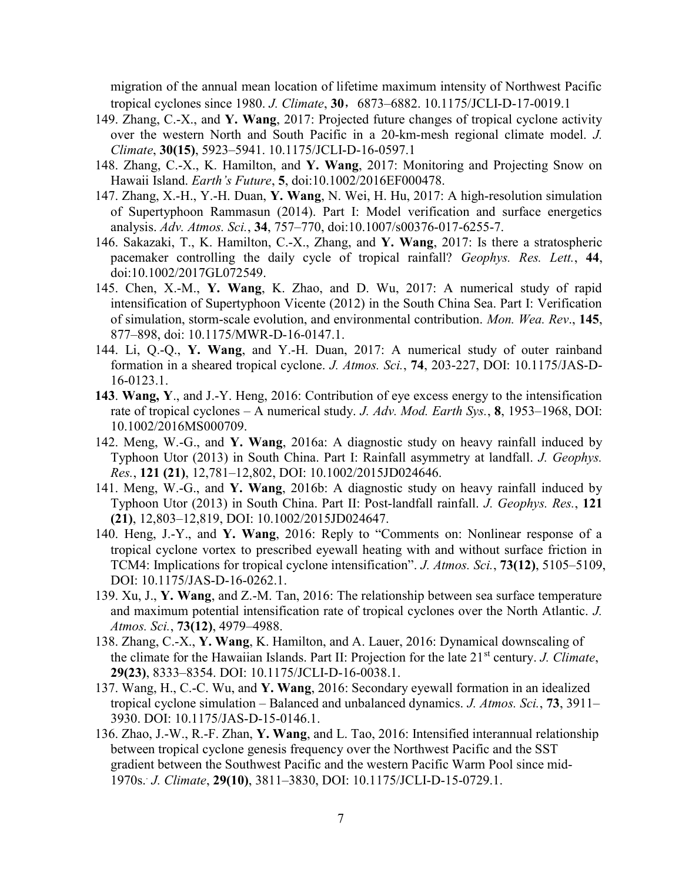migration of the annual mean location of lifetime maximum intensity of Northwest Pacific tropical cyclones since 1980. J. Climate, 30,6873–6882. 10.1175/JCLI-D-17-0019.1

- 149. Zhang, C.-X., and Y. Wang, 2017: Projected future changes of tropical cyclone activity over the western North and South Pacific in a 20-km-mesh regional climate model. J. Climate, 30(15), 5923–5941. 10.1175/JCLI-D-16-0597.1
- 148. Zhang, C.-X., K. Hamilton, and Y. Wang, 2017: Monitoring and Projecting Snow on Hawaii Island. Earth's Future, 5, doi:10.1002/2016EF000478.
- 147. Zhang, X.-H., Y.-H. Duan, Y. Wang, N. Wei, H. Hu, 2017: A high-resolution simulation of Supertyphoon Rammasun (2014). Part I: Model verification and surface energetics analysis. Adv. Atmos. Sci., 34, 757–770, doi:10.1007/s00376-017-6255-7.
- 146. Sakazaki, T., K. Hamilton, C.-X., Zhang, and Y. Wang, 2017: Is there a stratospheric pacemaker controlling the daily cycle of tropical rainfall? Geophys. Res. Lett., 44, doi:10.1002/2017GL072549.
- 145. Chen, X.-M., Y. Wang, K. Zhao, and D. Wu, 2017: A numerical study of rapid intensification of Supertyphoon Vicente (2012) in the South China Sea. Part I: Verification of simulation, storm-scale evolution, and environmental contribution. Mon. Wea. Rev., 145, 877–898, doi: 10.1175/MWR-D-16-0147.1.
- 144. Li, Q.-Q., Y. Wang, and Y.-H. Duan, 2017: A numerical study of outer rainband formation in a sheared tropical cyclone. J. Atmos. Sci., 74, 203-227, DOI: 10.1175/JAS-D-16-0123.1.
- 143. Wang, Y., and J.-Y. Heng, 2016: Contribution of eye excess energy to the intensification rate of tropical cyclones – A numerical study. J. Adv. Mod. Earth Sys., 8, 1953–1968, DOI: 10.1002/2016MS000709.
- 142. Meng, W.-G., and Y. Wang, 2016a: A diagnostic study on heavy rainfall induced by Typhoon Utor (2013) in South China. Part I: Rainfall asymmetry at landfall. J. Geophys. Res., 121 (21), 12,781–12,802, DOI: 10.1002/2015JD024646.
- 141. Meng, W.-G., and Y. Wang, 2016b: A diagnostic study on heavy rainfall induced by Typhoon Utor (2013) in South China. Part II: Post-landfall rainfall. J. Geophys. Res., 121 (21), 12,803–12,819, DOI: 10.1002/2015JD024647.
- 140. Heng, J.-Y., and Y. Wang, 2016: Reply to "Comments on: Nonlinear response of a tropical cyclone vortex to prescribed eyewall heating with and without surface friction in TCM4: Implications for tropical cyclone intensification". J. Atmos. Sci., 73(12), 5105-5109, DOI: 10.1175/JAS-D-16-0262.1.
- 139. Xu, J., Y. Wang, and Z.-M. Tan, 2016: The relationship between sea surface temperature and maximum potential intensification rate of tropical cyclones over the North Atlantic. J. Atmos. Sci., 73(12), 4979–4988.
- 138. Zhang, C.-X., Y. Wang, K. Hamilton, and A. Lauer, 2016: Dynamical downscaling of the climate for the Hawaiian Islands. Part II: Projection for the late  $21<sup>st</sup>$  century. J. Climate, 29(23), 8333–8354. DOI: 10.1175/JCLI-D-16-0038.1.
- 137. Wang, H., C.-C. Wu, and Y. Wang, 2016: Secondary eyewall formation in an idealized tropical cyclone simulation – Balanced and unbalanced dynamics. J. Atmos. Sci., 73, 3911– 3930. DOI: 10.1175/JAS-D-15-0146.1.
- 136. Zhao, J.-W., R.-F. Zhan, Y. Wang, and L. Tao, 2016: Intensified interannual relationship between tropical cyclone genesis frequency over the Northwest Pacific and the SST gradient between the Southwest Pacific and the western Pacific Warm Pool since mid-1970s.. J. Climate, 29(10), 3811–3830, DOI: 10.1175/JCLI-D-15-0729.1.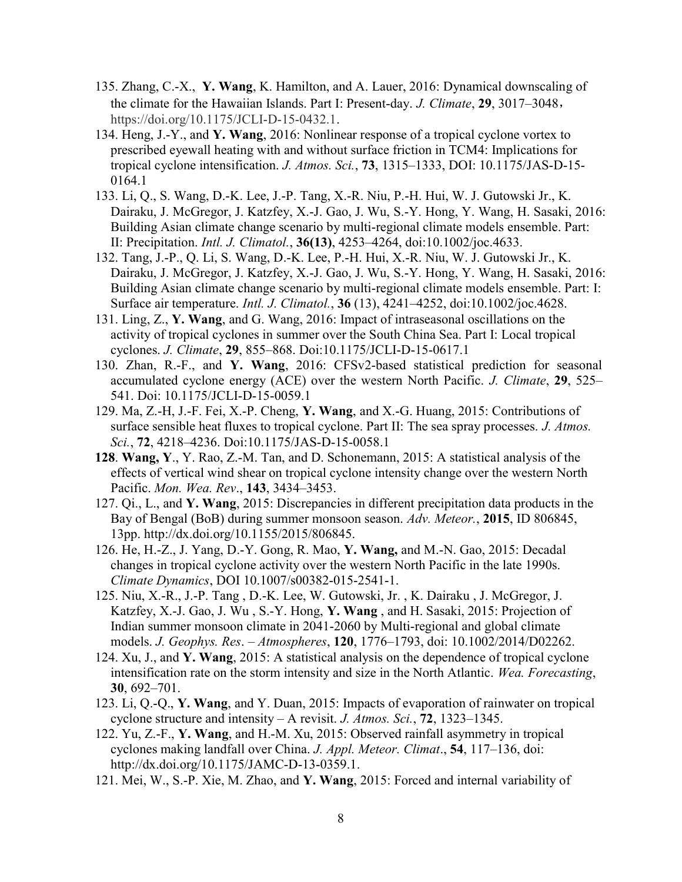- 135. Zhang, C.-X., Y. Wang, K. Hamilton, and A. Lauer, 2016: Dynamical downscaling of the climate for the Hawaiian Islands. Part I: Present-day. J. Climate, 29, 3017–3048, https://doi.org/10.1175/JCLI-D-15-0432.1.
- 134. Heng, J.-Y., and Y. Wang, 2016: Nonlinear response of a tropical cyclone vortex to prescribed eyewall heating with and without surface friction in TCM4: Implications for tropical cyclone intensification. J. Atmos. Sci., 73, 1315-1333, DOI: 10.1175/JAS-D-15-0164.1
- 133. Li, Q., S. Wang, D.-K. Lee, J.-P. Tang, X.-R. Niu, P.-H. Hui, W. J. Gutowski Jr., K. Dairaku, J. McGregor, J. Katzfey, X.-J. Gao, J. Wu, S.-Y. Hong, Y. Wang, H. Sasaki, 2016: Building Asian climate change scenario by multi-regional climate models ensemble. Part: II: Precipitation. Intl. J. Climatol., 36(13), 4253–4264, doi:10.1002/joc.4633.
- 132. Tang, J.-P., Q. Li, S. Wang, D.-K. Lee, P.-H. Hui, X.-R. Niu, W. J. Gutowski Jr., K. Dairaku, J. McGregor, J. Katzfey, X.-J. Gao, J. Wu, S.-Y. Hong, Y. Wang, H. Sasaki, 2016: Building Asian climate change scenario by multi-regional climate models ensemble. Part: I: Surface air temperature. Intl. J. Climatol., 36 (13), 4241–4252, doi:10.1002/joc.4628.
- 131. Ling, Z., Y. Wang, and G. Wang, 2016: Impact of intraseasonal oscillations on the activity of tropical cyclones in summer over the South China Sea. Part I: Local tropical cyclones. J. Climate, 29, 855–868. Doi:10.1175/JCLI-D-15-0617.1
- 130. Zhan, R.-F., and Y. Wang, 2016: CFSv2-based statistical prediction for seasonal accumulated cyclone energy (ACE) over the western North Pacific. J. Climate, 29, 525– 541. Doi: 10.1175/JCLI-D-15-0059.1
- 129. Ma, Z.-H, J.-F. Fei, X.-P. Cheng, Y. Wang, and X.-G. Huang, 2015: Contributions of surface sensible heat fluxes to tropical cyclone. Part II: The sea spray processes. J. Atmos. Sci., 72, 4218–4236. Doi:10.1175/JAS-D-15-0058.1
- 128. Wang, Y., Y. Rao, Z.-M. Tan, and D. Schonemann, 2015: A statistical analysis of the effects of vertical wind shear on tropical cyclone intensity change over the western North Pacific. Mon. Wea. Rev., 143, 3434–3453.
- 127. Qi., L., and Y. Wang, 2015: Discrepancies in different precipitation data products in the Bay of Bengal (BoB) during summer monsoon season. Adv. Meteor., 2015, ID 806845, 13pp. http://dx.doi.org/10.1155/2015/806845.
- 126. He, H.-Z., J. Yang, D.-Y. Gong, R. Mao, Y. Wang, and M.-N. Gao, 2015: Decadal changes in tropical cyclone activity over the western North Pacific in the late 1990s. Climate Dynamics, DOI 10.1007/s00382-015-2541-1.
- 125. Niu, X.-R., J.-P. Tang , D.-K. Lee, W. Gutowski, Jr. , K. Dairaku , J. McGregor, J. Katzfey, X.-J. Gao, J. Wu , S.-Y. Hong, Y. Wang , and H. Sasaki, 2015: Projection of Indian summer monsoon climate in 2041-2060 by Multi-regional and global climate models. J. Geophys. Res. – Atmospheres, 120, 1776–1793, doi: 10.1002/2014/D02262.
- 124. Xu, J., and Y. Wang, 2015: A statistical analysis on the dependence of tropical cyclone intensification rate on the storm intensity and size in the North Atlantic. Wea. Forecasting, 30, 692–701.
- 123. Li, Q.-Q., Y. Wang, and Y. Duan, 2015: Impacts of evaporation of rainwater on tropical cyclone structure and intensity – A revisit. J. Atmos. Sci., 72, 1323–1345.
- 122. Yu, Z.-F., Y. Wang, and H.-M. Xu, 2015: Observed rainfall asymmetry in tropical cyclones making landfall over China. J. Appl. Meteor. Climat., 54, 117–136, doi: http://dx.doi.org/10.1175/JAMC-D-13-0359.1.
- 121. Mei, W., S.-P. Xie, M. Zhao, and Y. Wang, 2015: Forced and internal variability of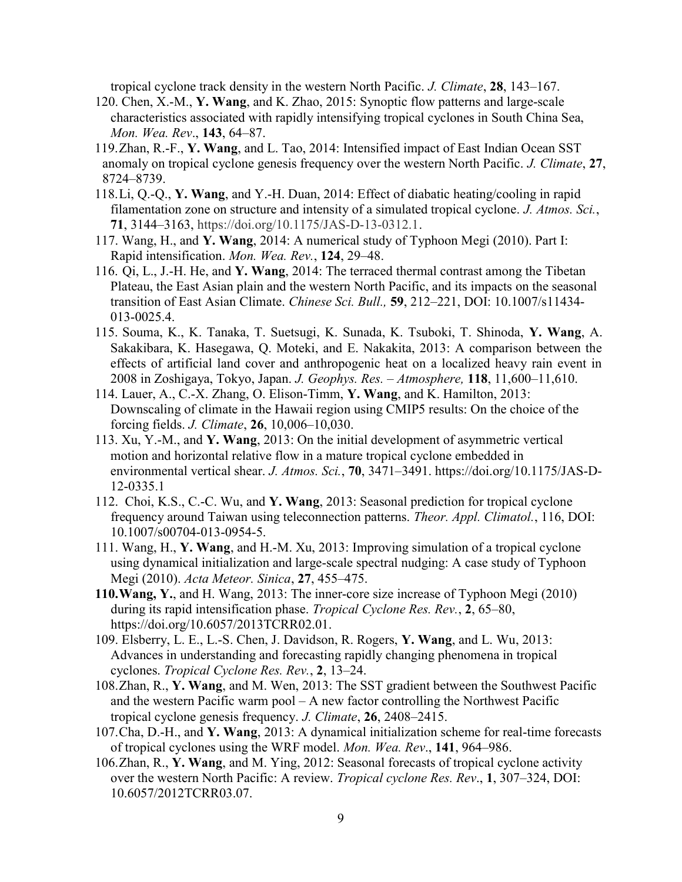tropical cyclone track density in the western North Pacific. J. Climate, 28, 143–167.

- 120. Chen, X.-M., Y. Wang, and K. Zhao, 2015: Synoptic flow patterns and large-scale characteristics associated with rapidly intensifying tropical cyclones in South China Sea, Mon. Wea. Rev., 143, 64–87.
- 119.Zhan, R.-F., Y. Wang, and L. Tao, 2014: Intensified impact of East Indian Ocean SST anomaly on tropical cyclone genesis frequency over the western North Pacific. J. Climate, 27, 8724–8739.
- 118.Li, Q.-Q., Y. Wang, and Y.-H. Duan, 2014: Effect of diabatic heating/cooling in rapid filamentation zone on structure and intensity of a simulated tropical cyclone. J. Atmos. Sci., 71, 3144–3163, https://doi.org/10.1175/JAS-D-13-0312.1.
- 117. Wang, H., and Y. Wang, 2014: A numerical study of Typhoon Megi (2010). Part I: Rapid intensification. Mon. Wea. Rev., 124, 29–48.
- 116. Qi, L., J.-H. He, and Y. Wang, 2014: The terraced thermal contrast among the Tibetan Plateau, the East Asian plain and the western North Pacific, and its impacts on the seasonal transition of East Asian Climate. Chinese Sci. Bull., 59, 212–221, DOI: 10.1007/s11434- 013-0025.4.
- 115. Souma, K., K. Tanaka, T. Suetsugi, K. Sunada, K. Tsuboki, T. Shinoda, Y. Wang, A. Sakakibara, K. Hasegawa, Q. Moteki, and E. Nakakita, 2013: A comparison between the effects of artificial land cover and anthropogenic heat on a localized heavy rain event in 2008 in Zoshigaya, Tokyo, Japan. J. Geophys. Res. – Atmosphere, 118, 11,600–11,610.
- 114. Lauer, A., C.-X. Zhang, O. Elison-Timm, Y. Wang, and K. Hamilton, 2013: Downscaling of climate in the Hawaii region using CMIP5 results: On the choice of the forcing fields. J. Climate, 26, 10,006–10,030.
- 113. Xu, Y.-M., and Y. Wang, 2013: On the initial development of asymmetric vertical motion and horizontal relative flow in a mature tropical cyclone embedded in environmental vertical shear. J. Atmos. Sci., 70, 3471-3491. https://doi.org/10.1175/JAS-D-12-0335.1
- 112. Choi, K.S., C.-C. Wu, and Y. Wang, 2013: Seasonal prediction for tropical cyclone frequency around Taiwan using teleconnection patterns. Theor. Appl. Climatol., 116, DOI: 10.1007/s00704-013-0954-5.
- 111. Wang, H., Y. Wang, and H.-M. Xu, 2013: Improving simulation of a tropical cyclone using dynamical initialization and large-scale spectral nudging: A case study of Typhoon Megi (2010). Acta Meteor. Sinica, 27, 455–475.
- 110.Wang, Y., and H. Wang, 2013: The inner-core size increase of Typhoon Megi (2010) during its rapid intensification phase. *Tropical Cyclone Res. Rev.*, 2, 65–80, https://doi.org/10.6057/2013TCRR02.01.
- 109. Elsberry, L. E., L.-S. Chen, J. Davidson, R. Rogers, Y. Wang, and L. Wu, 2013: Advances in understanding and forecasting rapidly changing phenomena in tropical cyclones. Tropical Cyclone Res. Rev., 2, 13–24.
- 108.Zhan, R., Y. Wang, and M. Wen, 2013: The SST gradient between the Southwest Pacific and the western Pacific warm pool – A new factor controlling the Northwest Pacific tropical cyclone genesis frequency. J. Climate, 26, 2408–2415.
- 107.Cha, D.-H., and Y. Wang, 2013: A dynamical initialization scheme for real-time forecasts of tropical cyclones using the WRF model. Mon. Wea. Rev., 141, 964–986.
- 106.Zhan, R., Y. Wang, and M. Ying, 2012: Seasonal forecasts of tropical cyclone activity over the western North Pacific: A review. Tropical cyclone Res. Rev., 1, 307–324, DOI: 10.6057/2012TCRR03.07.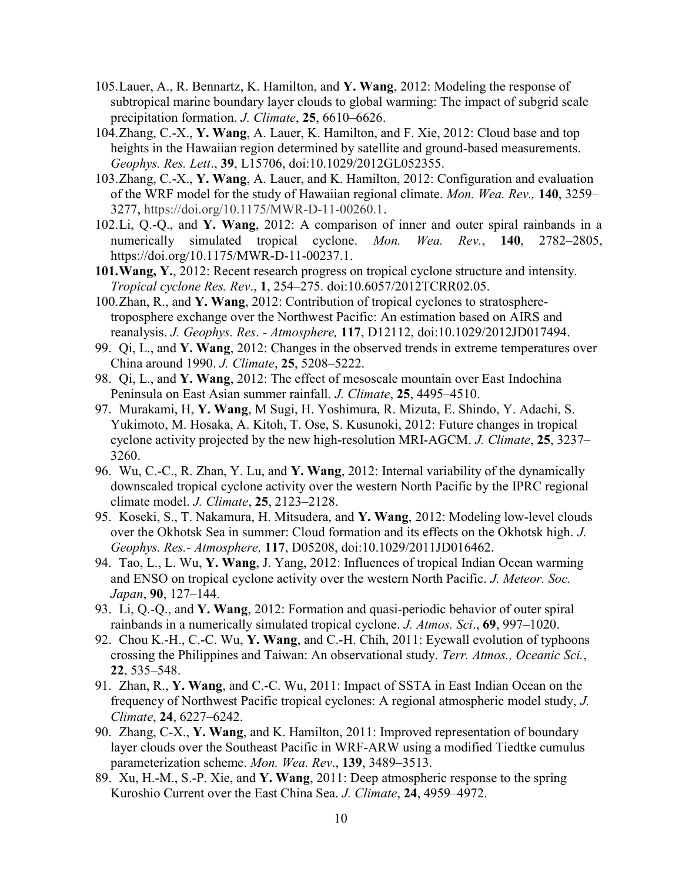- 105.Lauer, A., R. Bennartz, K. Hamilton, and Y. Wang, 2012: Modeling the response of subtropical marine boundary layer clouds to global warming: The impact of subgrid scale precipitation formation. J. Climate, 25, 6610-6626.
- 104.Zhang, C.-X., Y. Wang, A. Lauer, K. Hamilton, and F. Xie, 2012: Cloud base and top heights in the Hawaiian region determined by satellite and ground-based measurements. Geophys. Res. Lett., 39, L15706, doi:10.1029/2012GL052355.
- 103.Zhang, C.-X., Y. Wang, A. Lauer, and K. Hamilton, 2012: Configuration and evaluation of the WRF model for the study of Hawaiian regional climate. Mon. Wea. Rev., 140, 3259– 3277, https://doi.org/10.1175/MWR-D-11-00260.1.
- 102.Li, Q.-Q., and Y. Wang, 2012: A comparison of inner and outer spiral rainbands in a numerically simulated tropical cyclone. *Mon. Wea. Rev.*, 140, 2782–2805, https://doi.org/10.1175/MWR-D-11-00237.1.
- 101.Wang, Y., 2012: Recent research progress on tropical cyclone structure and intensity. Tropical cyclone Res. Rev., 1, 254–275. doi:10.6057/2012TCRR02.05.
- 100.Zhan, R., and Y. Wang, 2012: Contribution of tropical cyclones to stratospheretroposphere exchange over the Northwest Pacific: An estimation based on AIRS and reanalysis. J. Geophys. Res. - Atmosphere, 117, D12112, doi:10.1029/2012JD017494.
- 99. Qi, L., and Y. Wang, 2012: Changes in the observed trends in extreme temperatures over China around 1990. J. Climate, 25, 5208–5222.
- 98. Qi, L., and Y. Wang, 2012: The effect of mesoscale mountain over East Indochina Peninsula on East Asian summer rainfall. J. Climate, 25, 4495–4510.
- 97. Murakami, H, Y. Wang, M Sugi, H. Yoshimura, R. Mizuta, E. Shindo, Y. Adachi, S. Yukimoto, M. Hosaka, A. Kitoh, T. Ose, S. Kusunoki, 2012: Future changes in tropical cyclone activity projected by the new high-resolution MRI-AGCM. J. Climate, 25, 3237– 3260.
- 96. Wu, C.-C., R. Zhan, Y. Lu, and Y. Wang, 2012: Internal variability of the dynamically downscaled tropical cyclone activity over the western North Pacific by the IPRC regional climate model. J. Climate, 25, 2123–2128.
- 95. Koseki, S., T. Nakamura, H. Mitsudera, and Y. Wang, 2012: Modeling low-level clouds over the Okhotsk Sea in summer: Cloud formation and its effects on the Okhotsk high. J. Geophys. Res.- Atmosphere, 117, D05208, doi:10.1029/2011JD016462.
- 94. Tao, L., L. Wu, Y. Wang, J. Yang, 2012: Influences of tropical Indian Ocean warming and ENSO on tropical cyclone activity over the western North Pacific. J. Meteor. Soc. Japan, 90, 127–144.
- 93. Li, Q.-Q., and Y. Wang, 2012: Formation and quasi-periodic behavior of outer spiral rainbands in a numerically simulated tropical cyclone. J. Atmos. Sci., 69, 997–1020.
- 92. Chou K.-H., C.-C. Wu, Y. Wang, and C.-H. Chih, 2011: Eyewall evolution of typhoons crossing the Philippines and Taiwan: An observational study. Terr. Atmos., Oceanic Sci., 22, 535–548.
- 91. Zhan, R., Y. Wang, and C.-C. Wu, 2011: Impact of SSTA in East Indian Ocean on the frequency of Northwest Pacific tropical cyclones: A regional atmospheric model study, J. Climate, 24, 6227–6242.
- 90. Zhang, C-X., Y. Wang, and K. Hamilton, 2011: Improved representation of boundary layer clouds over the Southeast Pacific in WRF-ARW using a modified Tiedtke cumulus parameterization scheme. Mon. Wea. Rev., 139, 3489–3513.
- 89. Xu, H.-M., S.-P. Xie, and Y. Wang, 2011: Deep atmospheric response to the spring Kuroshio Current over the East China Sea. J. Climate, 24, 4959-4972.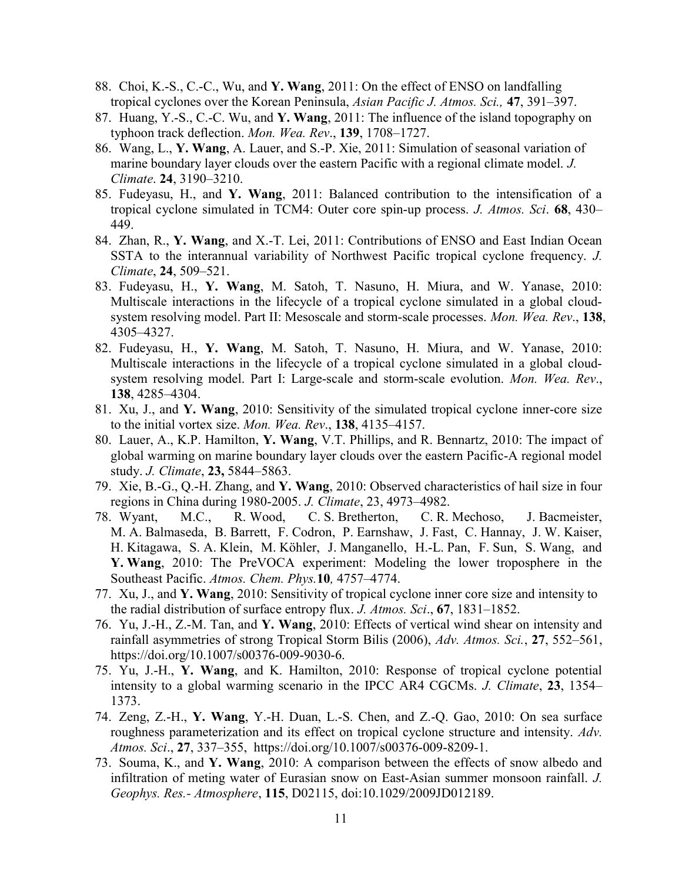- 88. Choi, K.-S., C.-C., Wu, and Y. Wang, 2011: On the effect of ENSO on landfalling tropical cyclones over the Korean Peninsula, Asian Pacific J. Atmos. Sci., 47, 391–397.
- 87. Huang, Y.-S., C.-C. Wu, and Y. Wang, 2011: The influence of the island topography on typhoon track deflection. Mon. Wea. Rev., 139, 1708–1727.
- 86. Wang, L., Y. Wang, A. Lauer, and S.-P. Xie, 2011: Simulation of seasonal variation of marine boundary layer clouds over the eastern Pacific with a regional climate model. J. Climate. 24, 3190–3210.
- 85. Fudeyasu, H., and Y. Wang, 2011: Balanced contribution to the intensification of a tropical cyclone simulated in TCM4: Outer core spin-up process. J. Atmos. Sci. 68, 430– 449.
- 84. Zhan, R., Y. Wang, and X.-T. Lei, 2011: Contributions of ENSO and East Indian Ocean SSTA to the interannual variability of Northwest Pacific tropical cyclone frequency. J. Climate, 24, 509–521.
- 83. Fudeyasu, H., Y. Wang, M. Satoh, T. Nasuno, H. Miura, and W. Yanase, 2010: Multiscale interactions in the lifecycle of a tropical cyclone simulated in a global cloudsystem resolving model. Part II: Mesoscale and storm-scale processes. Mon. Wea. Rev., 138, 4305–4327.
- 82. Fudeyasu, H., Y. Wang, M. Satoh, T. Nasuno, H. Miura, and W. Yanase, 2010: Multiscale interactions in the lifecycle of a tropical cyclone simulated in a global cloudsystem resolving model. Part I: Large-scale and storm-scale evolution. Mon. Wea. Rev., 138, 4285–4304.
- 81. Xu, J., and Y. Wang, 2010: Sensitivity of the simulated tropical cyclone inner-core size to the initial vortex size. Mon. Wea. Rev., 138, 4135–4157.
- 80. Lauer, A., K.P. Hamilton, Y. Wang, V.T. Phillips, and R. Bennartz, 2010: The impact of global warming on marine boundary layer clouds over the eastern Pacific-A regional model study. J. Climate, 23, 5844–5863.
- 79. Xie, B.-G., Q.-H. Zhang, and Y. Wang, 2010: Observed characteristics of hail size in four regions in China during 1980-2005. J. Climate, 23, 4973–4982.
- 78. Wyant, M.C., R. Wood, C. S. Bretherton, C. R. Mechoso, J. Bacmeister, M. A. Balmaseda, B. Barrett, F. Codron, P. Earnshaw, J. Fast, C. Hannay, J. W. Kaiser, H. Kitagawa, S. A. Klein, M. Köhler, J. Manganello, H.-L. Pan, F. Sun, S. Wang, and Y. Wang, 2010: The PreVOCA experiment: Modeling the lower troposphere in the Southeast Pacific. Atmos. Chem. Phys.10, 4757–4774.
- 77. Xu, J., and Y. Wang, 2010: Sensitivity of tropical cyclone inner core size and intensity to the radial distribution of surface entropy flux. J. Atmos. Sci., 67, 1831–1852.
- 76. Yu, J.-H., Z.-M. Tan, and Y. Wang, 2010: Effects of vertical wind shear on intensity and rainfall asymmetries of strong Tropical Storm Bilis (2006), Adv. Atmos. Sci., 27, 552–561, https://doi.org/10.1007/s00376-009-9030-6.
- 75. Yu, J.-H., Y. Wang, and K. Hamilton, 2010: Response of tropical cyclone potential intensity to a global warming scenario in the IPCC AR4 CGCMs. J. Climate, 23, 1354– 1373.
- 74. Zeng, Z.-H., Y. Wang, Y.-H. Duan, L.-S. Chen, and Z.-Q. Gao, 2010: On sea surface roughness parameterization and its effect on tropical cyclone structure and intensity. Adv. Atmos. Sci., 27, 337–355, https://doi.org/10.1007/s00376-009-8209-1.
- 73. Souma, K., and Y. Wang, 2010: A comparison between the effects of snow albedo and infiltration of meting water of Eurasian snow on East-Asian summer monsoon rainfall. J. Geophys. Res.- Atmosphere, 115, D02115, doi:10.1029/2009JD012189.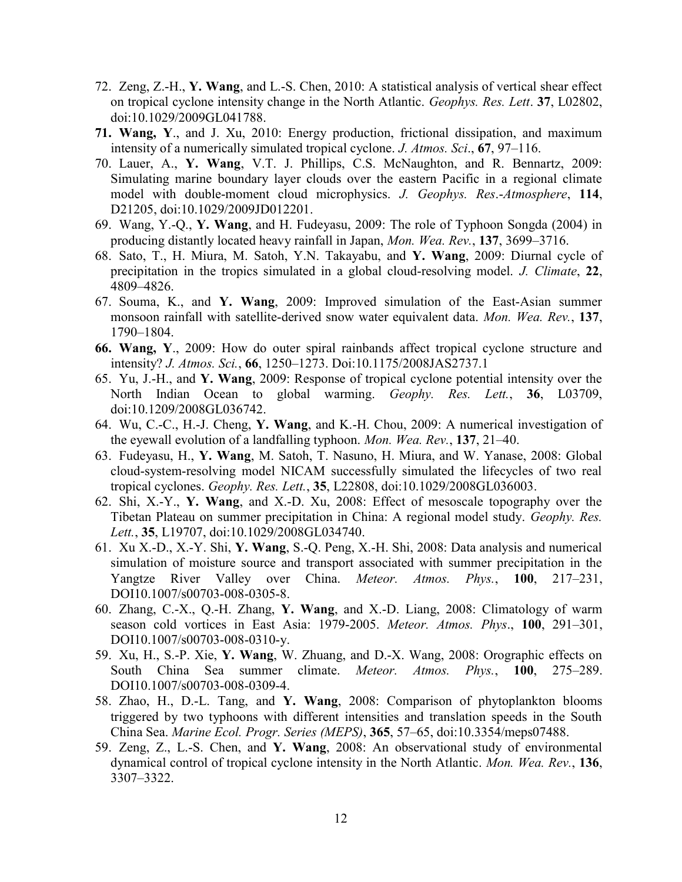- 72. Zeng, Z.-H., Y. Wang, and L.-S. Chen, 2010: A statistical analysis of vertical shear effect on tropical cyclone intensity change in the North Atlantic. Geophys. Res. Lett. 37, L02802, doi:10.1029/2009GL041788.
- 71. Wang, Y., and J. Xu, 2010: Energy production, frictional dissipation, and maximum intensity of a numerically simulated tropical cyclone. J. Atmos. Sci., 67, 97–116.
- 70. Lauer, A., Y. Wang, V.T. J. Phillips, C.S. McNaughton, and R. Bennartz, 2009: Simulating marine boundary layer clouds over the eastern Pacific in a regional climate model with double-moment cloud microphysics. J. Geophys. Res.-Atmosphere, 114, D21205, doi:10.1029/2009JD012201.
- 69. Wang, Y.-Q., Y. Wang, and H. Fudeyasu, 2009: The role of Typhoon Songda (2004) in producing distantly located heavy rainfall in Japan, Mon. Wea. Rev., 137, 3699–3716.
- 68. Sato, T., H. Miura, M. Satoh, Y.N. Takayabu, and Y. Wang, 2009: Diurnal cycle of precipitation in the tropics simulated in a global cloud-resolving model. J. Climate, 22, 4809–4826.
- 67. Souma, K., and Y. Wang, 2009: Improved simulation of the East-Asian summer monsoon rainfall with satellite-derived snow water equivalent data. Mon. Wea. Rev., 137, 1790–1804.
- 66. Wang, Y., 2009: How do outer spiral rainbands affect tropical cyclone structure and intensity? J. Atmos. Sci., 66, 1250–1273. Doi:10.1175/2008JAS2737.1
- 65. Yu, J.-H., and Y. Wang, 2009: Response of tropical cyclone potential intensity over the North Indian Ocean to global warming. Geophy. Res. Lett., 36, L03709, doi:10.1209/2008GL036742.
- 64. Wu, C.-C., H.-J. Cheng, Y. Wang, and K.-H. Chou, 2009: A numerical investigation of the eyewall evolution of a landfalling typhoon. Mon. Wea. Rev., 137, 21–40.
- 63. Fudeyasu, H., Y. Wang, M. Satoh, T. Nasuno, H. Miura, and W. Yanase, 2008: Global cloud-system-resolving model NICAM successfully simulated the lifecycles of two real tropical cyclones. Geophy. Res. Lett., 35, L22808, doi:10.1029/2008GL036003.
- 62. Shi, X.-Y., Y. Wang, and X.-D. Xu, 2008: Effect of mesoscale topography over the Tibetan Plateau on summer precipitation in China: A regional model study. Geophy. Res. Lett., 35, L19707, doi:10.1029/2008GL034740.
- 61. Xu X.-D., X.-Y. Shi, Y. Wang, S.-Q. Peng, X.-H. Shi, 2008: Data analysis and numerical simulation of moisture source and transport associated with summer precipitation in the Yangtze River Valley over China. *Meteor. Atmos. Phys.*, 100, 217–231, DOI10.1007/s00703-008-0305-8.
- 60. Zhang, C.-X., Q.-H. Zhang, Y. Wang, and X.-D. Liang, 2008: Climatology of warm season cold vortices in East Asia: 1979-2005. Meteor. Atmos. Phys., 100, 291–301, DOI10.1007/s00703-008-0310-y.
- 59. Xu, H., S.-P. Xie, Y. Wang, W. Zhuang, and D.-X. Wang, 2008: Orographic effects on South China Sea summer climate. Meteor. Atmos. Phys., 100, 275–289. DOI10.1007/s00703-008-0309-4.
- 58. Zhao, H., D.-L. Tang, and Y. Wang, 2008: Comparison of phytoplankton blooms triggered by two typhoons with different intensities and translation speeds in the South China Sea. Marine Ecol. Progr. Series (MEPS), 365, 57–65, doi:10.3354/meps07488.
- 59. Zeng, Z., L.-S. Chen, and Y. Wang, 2008: An observational study of environmental dynamical control of tropical cyclone intensity in the North Atlantic. Mon. Wea. Rev., 136, 3307–3322.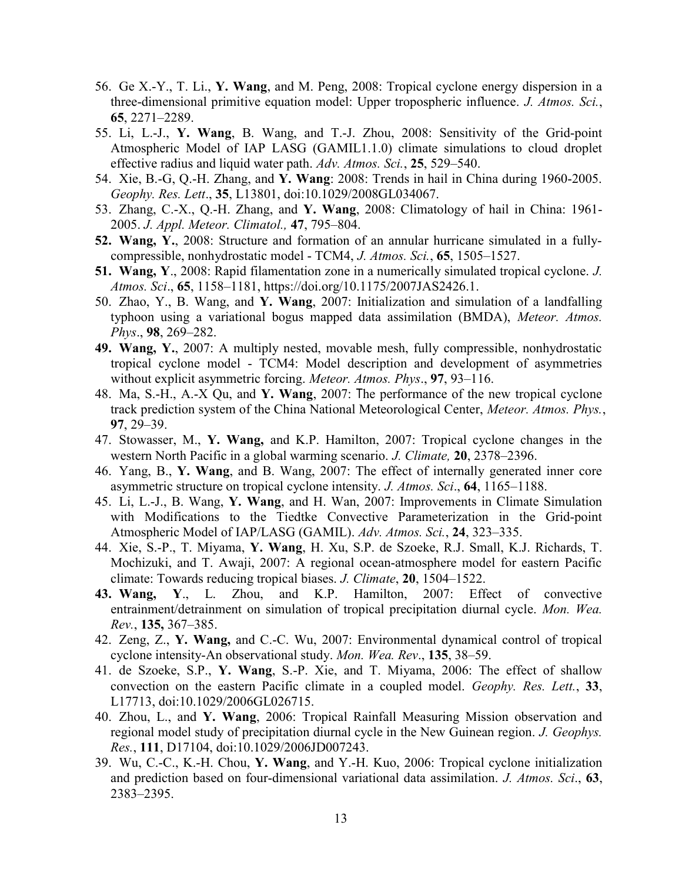- 56. Ge X.-Y., T. Li., Y. Wang, and M. Peng, 2008: Tropical cyclone energy dispersion in a three-dimensional primitive equation model: Upper tropospheric influence. J. Atmos. Sci., 65, 2271–2289.
- 55. Li, L.-J., Y. Wang, B. Wang, and T.-J. Zhou, 2008: Sensitivity of the Grid-point Atmospheric Model of IAP LASG (GAMIL1.1.0) climate simulations to cloud droplet effective radius and liquid water path. Adv. Atmos. Sci., 25, 529–540.
- 54. Xie, B.-G, Q.-H. Zhang, and Y. Wang: 2008: Trends in hail in China during 1960-2005. Geophy. Res. Lett., 35, L13801, doi:10.1029/2008GL034067.
- 53. Zhang, C.-X., Q.-H. Zhang, and Y. Wang, 2008: Climatology of hail in China: 1961- 2005. J. Appl. Meteor. Climatol., 47, 795–804.
- 52. Wang, Y., 2008: Structure and formation of an annular hurricane simulated in a fullycompressible, nonhydrostatic model - TCM4, J. Atmos. Sci., 65, 1505–1527.
- 51. Wang, Y., 2008: Rapid filamentation zone in a numerically simulated tropical cyclone. J. Atmos. Sci., 65, 1158–1181, https://doi.org/10.1175/2007JAS2426.1.
- 50. Zhao, Y., B. Wang, and Y. Wang, 2007: Initialization and simulation of a landfalling typhoon using a variational bogus mapped data assimilation (BMDA), Meteor. Atmos. Phys., 98, 269–282.
- 49. Wang, Y., 2007: A multiply nested, movable mesh, fully compressible, nonhydrostatic tropical cyclone model - TCM4: Model description and development of asymmetries without explicit asymmetric forcing. Meteor. Atmos. Phys., 97, 93–116.
- 48. Ma, S.-H., A.-X Qu, and Y. Wang, 2007: The performance of the new tropical cyclone track prediction system of the China National Meteorological Center, Meteor. Atmos. Phys., 97, 29–39.
- 47. Stowasser, M., Y. Wang, and K.P. Hamilton, 2007: Tropical cyclone changes in the western North Pacific in a global warming scenario. J. Climate, 20, 2378–2396.
- 46. Yang, B., Y. Wang, and B. Wang, 2007: The effect of internally generated inner core asymmetric structure on tropical cyclone intensity. J. Atmos. Sci., 64, 1165–1188.
- 45. Li, L.-J., B. Wang, Y. Wang, and H. Wan, 2007: Improvements in Climate Simulation with Modifications to the Tiedtke Convective Parameterization in the Grid-point Atmospheric Model of IAP/LASG (GAMIL). Adv. Atmos. Sci., 24, 323–335.
- 44. Xie, S.-P., T. Miyama, Y. Wang, H. Xu, S.P. de Szoeke, R.J. Small, K.J. Richards, T. Mochizuki, and T. Awaji, 2007: A regional ocean-atmosphere model for eastern Pacific climate: Towards reducing tropical biases. J. Climate, 20, 1504–1522.
- 43. Wang, Y., L. Zhou, and K.P. Hamilton, 2007: Effect of convective entrainment/detrainment on simulation of tropical precipitation diurnal cycle. Mon. Wea. Rev., 135, 367–385.
- 42. Zeng, Z., Y. Wang, and C.-C. Wu, 2007: Environmental dynamical control of tropical cyclone intensity-An observational study. Mon. Wea. Rev., 135, 38–59.
- 41. de Szoeke, S.P., Y. Wang, S.-P. Xie, and T. Miyama, 2006: The effect of shallow convection on the eastern Pacific climate in a coupled model. Geophy. Res. Lett., 33, L17713, doi:10.1029/2006GL026715.
- 40. Zhou, L., and Y. Wang, 2006: Tropical Rainfall Measuring Mission observation and regional model study of precipitation diurnal cycle in the New Guinean region. J. Geophys. Res., 111, D17104, doi:10.1029/2006JD007243.
- 39. Wu, C.-C., K.-H. Chou, Y. Wang, and Y.-H. Kuo, 2006: Tropical cyclone initialization and prediction based on four-dimensional variational data assimilation. J. Atmos. Sci., 63, 2383–2395.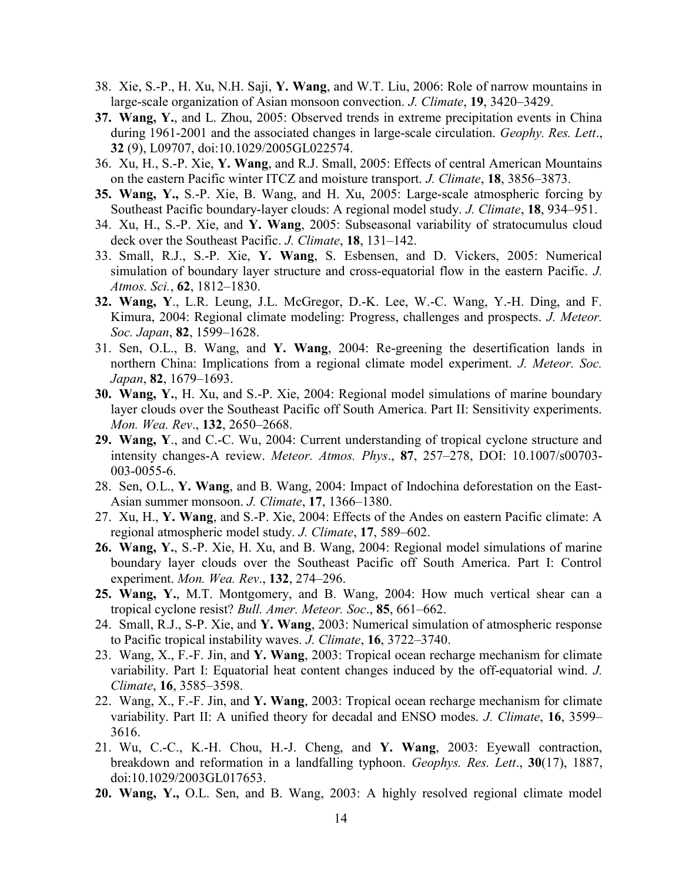- 38. Xie, S.-P., H. Xu, N.H. Saji, Y. Wang, and W.T. Liu, 2006: Role of narrow mountains in large-scale organization of Asian monsoon convection. J. Climate, 19, 3420–3429.
- 37. Wang, Y., and L. Zhou, 2005: Observed trends in extreme precipitation events in China during 1961-2001 and the associated changes in large-scale circulation. *Geophy. Res. Lett.*, 32 (9), L09707, doi:10.1029/2005GL022574.
- 36. Xu, H., S.-P. Xie, Y. Wang, and R.J. Small, 2005: Effects of central American Mountains on the eastern Pacific winter ITCZ and moisture transport. J. Climate, 18, 3856–3873.
- 35. Wang, Y., S.-P. Xie, B. Wang, and H. Xu, 2005: Large-scale atmospheric forcing by Southeast Pacific boundary-layer clouds: A regional model study. J. Climate, 18, 934–951.
- 34. Xu, H., S.-P. Xie, and Y. Wang, 2005: Subseasonal variability of stratocumulus cloud deck over the Southeast Pacific. J. Climate, 18, 131–142.
- 33. Small, R.J., S.-P. Xie, Y. Wang, S. Esbensen, and D. Vickers, 2005: Numerical simulation of boundary layer structure and cross-equatorial flow in the eastern Pacific. J. Atmos. Sci., 62, 1812–1830.
- 32. Wang, Y., L.R. Leung, J.L. McGregor, D.-K. Lee, W.-C. Wang, Y.-H. Ding, and F. Kimura, 2004: Regional climate modeling: Progress, challenges and prospects. J. Meteor. Soc. Japan, **82**, 1599–1628.
- 31. Sen, O.L., B. Wang, and Y. Wang, 2004: Re-greening the desertification lands in northern China: Implications from a regional climate model experiment. J. Meteor. Soc. Japan, 82, 1679–1693.
- 30. Wang, Y., H. Xu, and S.-P. Xie, 2004: Regional model simulations of marine boundary layer clouds over the Southeast Pacific off South America. Part II: Sensitivity experiments. Mon. Wea. Rev., 132, 2650–2668.
- 29. Wang, Y., and C.-C. Wu, 2004: Current understanding of tropical cyclone structure and intensity changes-A review. Meteor. Atmos. Phys., 87, 257–278, DOI: 10.1007/s00703- 003-0055-6.
- 28. Sen, O.L., Y. Wang, and B. Wang, 2004: Impact of Indochina deforestation on the East-Asian summer monsoon. J. Climate, 17, 1366–1380.
- 27. Xu, H., Y. Wang, and S.-P. Xie, 2004: Effects of the Andes on eastern Pacific climate: A regional atmospheric model study. J. Climate, 17, 589–602.
- 26. Wang, Y., S.-P. Xie, H. Xu, and B. Wang, 2004: Regional model simulations of marine boundary layer clouds over the Southeast Pacific off South America. Part I: Control experiment. Mon. Wea. Rev., 132, 274-296.
- 25. Wang, Y., M.T. Montgomery, and B. Wang, 2004: How much vertical shear can a tropical cyclone resist? Bull. Amer. Meteor. Soc., 85, 661–662.
- 24. Small, R.J., S-P. Xie, and Y. Wang, 2003: Numerical simulation of atmospheric response to Pacific tropical instability waves. J. Climate, 16, 3722–3740.
- 23. Wang, X., F.-F. Jin, and Y. Wang, 2003: Tropical ocean recharge mechanism for climate variability. Part I: Equatorial heat content changes induced by the off-equatorial wind. J. Climate, 16, 3585–3598.
- 22. Wang, X., F.-F. Jin, and Y. Wang, 2003: Tropical ocean recharge mechanism for climate variability. Part II: A unified theory for decadal and ENSO modes. J. Climate, 16, 3599-3616.
- 21. Wu, C.-C., K.-H. Chou, H.-J. Cheng, and Y. Wang, 2003: Eyewall contraction, breakdown and reformation in a landfalling typhoon. Geophys. Res. Lett., 30(17), 1887, doi:10.1029/2003GL017653.
- 20. Wang, Y., O.L. Sen, and B. Wang, 2003: A highly resolved regional climate model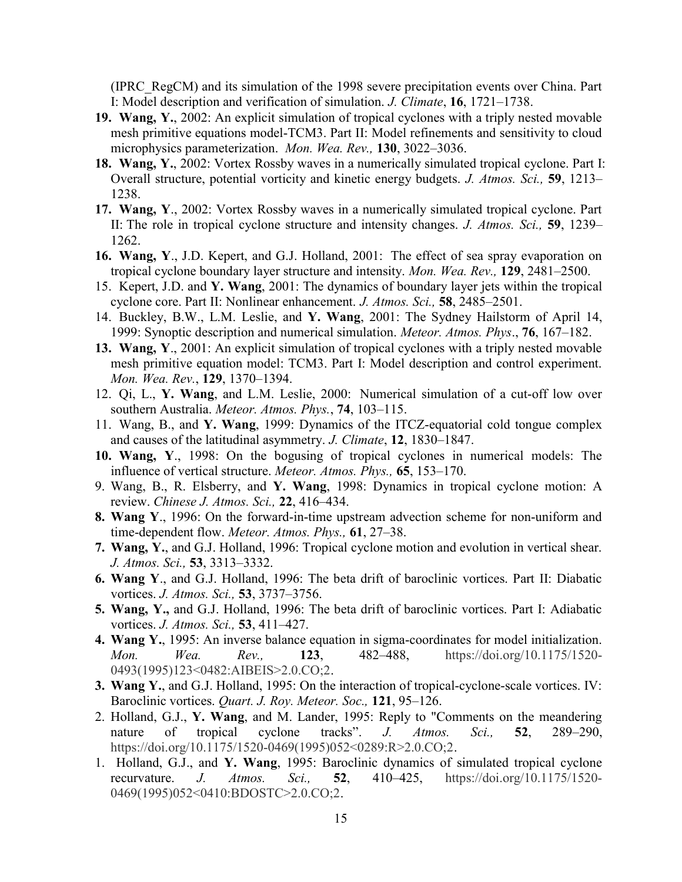(IPRC\_RegCM) and its simulation of the 1998 severe precipitation events over China. Part I: Model description and verification of simulation. J. Climate, 16, 1721–1738.

- 19. Wang, Y., 2002: An explicit simulation of tropical cyclones with a triply nested movable mesh primitive equations model-TCM3. Part II: Model refinements and sensitivity to cloud microphysics parameterization. Mon. Wea. Rev., 130, 3022–3036.
- 18. Wang, Y., 2002: Vortex Rossby waves in a numerically simulated tropical cyclone. Part I: Overall structure, potential vorticity and kinetic energy budgets. J. Atmos. Sci., 59, 1213– 1238.
- 17. Wang, Y., 2002: Vortex Rossby waves in a numerically simulated tropical cyclone. Part II: The role in tropical cyclone structure and intensity changes. J. Atmos. Sci., 59, 1239– 1262.
- 16. Wang, Y., J.D. Kepert, and G.J. Holland, 2001: The effect of sea spray evaporation on tropical cyclone boundary layer structure and intensity. Mon. Wea. Rev., 129, 2481–2500.
- 15. Kepert, J.D. and Y. Wang, 2001: The dynamics of boundary layer jets within the tropical cyclone core. Part II: Nonlinear enhancement. J. Atmos. Sci., 58, 2485–2501.
- 14. Buckley, B.W., L.M. Leslie, and Y. Wang, 2001: The Sydney Hailstorm of April 14, 1999: Synoptic description and numerical simulation. Meteor. Atmos. Phys., 76, 167–182.
- 13. Wang, Y., 2001: An explicit simulation of tropical cyclones with a triply nested movable mesh primitive equation model: TCM3. Part I: Model description and control experiment. Mon. Wea. Rev., 129, 1370–1394.
- 12. Qi, L., Y. Wang, and L.M. Leslie, 2000: Numerical simulation of a cut-off low over southern Australia. Meteor. Atmos. Phys., 74, 103-115.
- 11. Wang, B., and Y. Wang, 1999: Dynamics of the ITCZ-equatorial cold tongue complex and causes of the latitudinal asymmetry. J. Climate, 12, 1830–1847.
- 10. Wang, Y., 1998: On the bogusing of tropical cyclones in numerical models: The influence of vertical structure. Meteor. Atmos. Phys., 65, 153–170.
- 9. Wang, B., R. Elsberry, and Y. Wang, 1998: Dynamics in tropical cyclone motion: A review. Chinese J. Atmos. Sci., 22, 416-434.
- 8. Wang Y., 1996: On the forward-in-time upstream advection scheme for non-uniform and time-dependent flow. Meteor. Atmos. Phys., 61, 27-38.
- 7. Wang, Y., and G.J. Holland, 1996: Tropical cyclone motion and evolution in vertical shear. J. Atmos. Sci., 53, 3313–3332.
- 6. Wang Y., and G.J. Holland, 1996: The beta drift of baroclinic vortices. Part II: Diabatic vortices. J. Atmos. Sci., 53, 3737–3756.
- 5. Wang, Y., and G.J. Holland, 1996: The beta drift of baroclinic vortices. Part I: Adiabatic vortices. *J. Atmos. Sci.*, **53**, 411–427.
- 4. Wang Y., 1995: An inverse balance equation in sigma-coordinates for model initialization. Mon. Wea. Rev., **123**, 482-488, https://doi.org/10.1175/1520-0493(1995)123<0482:AIBEIS>2.0.CO;2.
- 3. Wang Y., and G.J. Holland, 1995: On the interaction of tropical-cyclone-scale vortices. IV: Baroclinic vortices. *Quart. J. Roy. Meteor. Soc.*, 121, 95–126.
- 2. Holland, G.J., Y. Wang, and M. Lander, 1995: Reply to "Comments on the meandering nature of tropical cyclone tracks". J. Atmos. Sci., 52, 289–290, https://doi.org/10.1175/1520-0469(1995)052<0289:R>2.0.CO;2.
- 1. Holland, G.J., and Y. Wang, 1995: Baroclinic dynamics of simulated tropical cyclone recurvature. J. Atmos. Sci., 52, 410–425, https://doi.org/10.1175/1520- 0469(1995)052<0410:BDOSTC>2.0.CO;2.